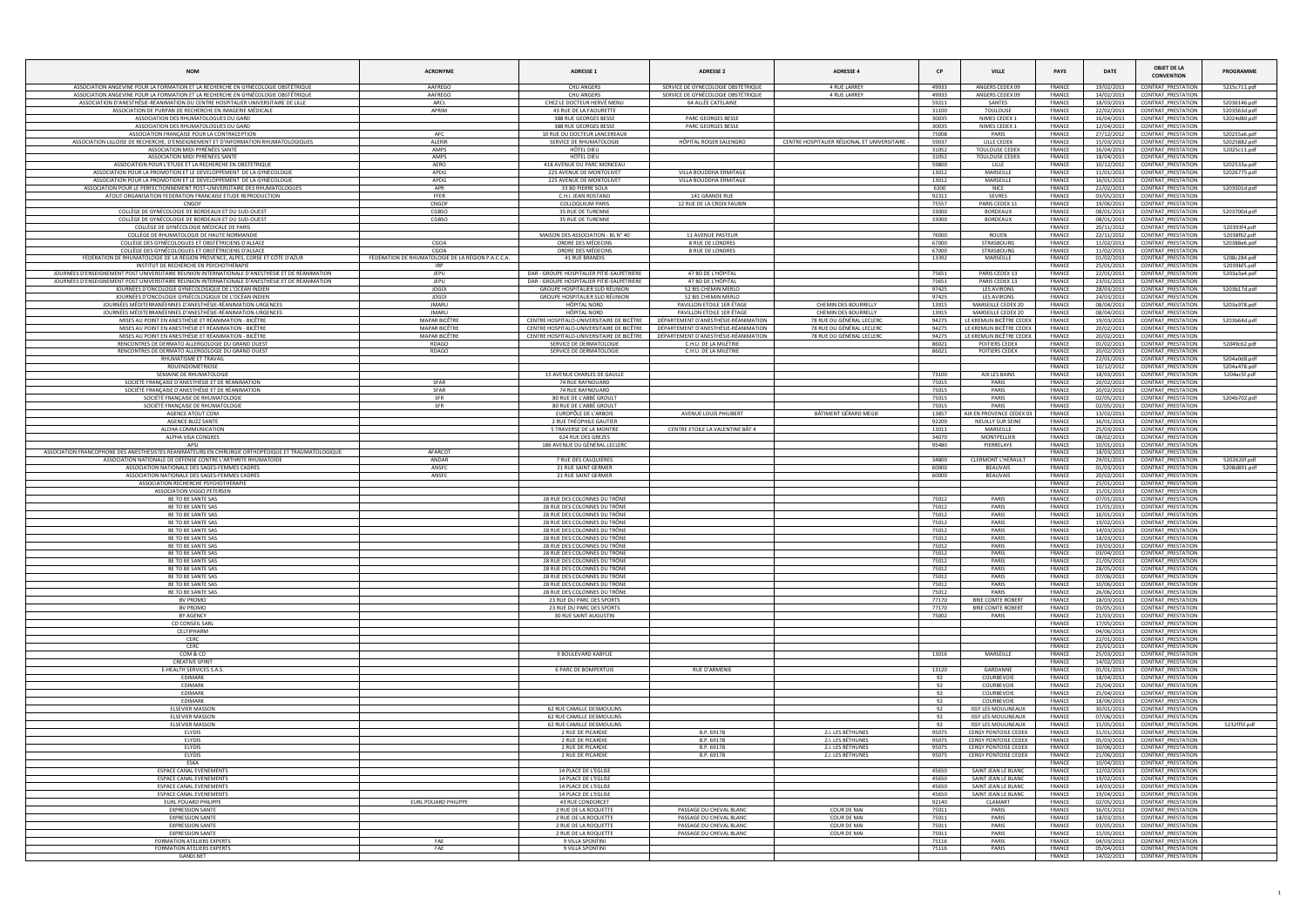| <b>NOM</b>                                                                                                                                                             | <b>ACRONYME</b>                                                  | <b>ADRESSE 1</b>                                                 | <b>ADRESSE 2</b>                                                  | <b>ADRESSE 4</b>                                  | <b>CP</b>      | <b>VILLE</b>                                               | <b>PAYS</b>                    | <b>DATE</b>              | <b>OBJET DE LA</b><br><b>CONVENTION</b>                | PROGRAMME                    |
|------------------------------------------------------------------------------------------------------------------------------------------------------------------------|------------------------------------------------------------------|------------------------------------------------------------------|-------------------------------------------------------------------|---------------------------------------------------|----------------|------------------------------------------------------------|--------------------------------|--------------------------|--------------------------------------------------------|------------------------------|
| ASSOCIATION ANGEVINE POUR LA FORMATION ET LA RECHERCHE EN GYNÉCOLOGIE OBSTÉTRIQUE                                                                                      | AAFREGO                                                          | <b>CHU ANGERS</b>                                                | SERVICE DE GYNÉCOLOGIE OBSTÉTRIQUE                                | <b>4 RUE LARREY</b>                               | 49933          | ANGERS CEDEX 09                                            | FRANCE                         | 19/02/2013               | <b>CONTRAT PRESTATION</b>                              | 5215c711.pdf                 |
| ASSOCIATION ANGEVINE POUR LA FORMATION ET LA RECHERCHE EN GYNÉCOLOGIE OBSTÉTRIQUE<br>ASSOCIATION D'ANESTHÉSIE-RÉANIMATION DU CENTRE HOSPITALIER UNIVERSITAIRE DE LILLE | AAFREGO<br>ARCL                                                  | <b>CHU ANGERS</b><br>CHEZ LE DOCTEUR HERVÉ MENU                  | SERVICE DE GYNÉCOLOGIE OBSTÉTRIQUE<br>64 ALLÉE CATELAINE          | 4 RUE LARREY                                      | 49933<br>59211 | ANGERS CEDEX 09<br>SANTES                                  | FRANCE<br>FRANCE               | 14/02/2013<br>18/03/2013 | CONTRAT_PRESTATION<br><b>CONTRAT PRESTATION</b>        | 52036146.pdf                 |
| ASSOCIATION DE PURPAN DE RECHERCHE EN IMAGERIE MÉDICALE                                                                                                                | APRIM                                                            | 43 RUE DE LA FAOURETTE                                           |                                                                   |                                                   | 31100          | <b>TOULOUSE</b>                                            | <b>FRANCE</b>                  | 22/02/2013               | <b>CONTRAT PRESTATION</b>                              | 5203563d.pdf                 |
| ASSOCIATION DES RHUMATOLOGUES DU GARD<br>ASSOCIATION DES RHUMATOLOGUES DU GARD                                                                                         |                                                                  | 388 RUE GEORGES BESSE<br>388 RUE GEORGES BESSE                   | PARC GEORGES BESSE<br>PARC GEORGES BESSE                          |                                                   | 30035<br>30035 | NIMES CEDEX 1<br>NIMES CEDEX 1                             | FRANCE<br>FRANCE               | 16/04/2013<br>12/04/2013 | CONTRAT_PRESTATION<br><b>CONTRAT PRESTATION</b>        | 52024d80.pdf                 |
| ASSOCIATION FRANCAISE POUR LA CONTRACEPTION                                                                                                                            | AFC                                                              | 10 RUE DU DOCTEUR LANCEREAU)                                     |                                                                   |                                                   | 75008          | PARIS                                                      | FRANCE                         | 27/12/2012               | <b>CONTRAT PRESTATION</b>                              | 520255a6.pdf                 |
| ASSOCIATION LILLOISE DE RECHERCHE, D'ENSEIGNEMENT ET D'INFORMATION RHUMATOLOGIQUES                                                                                     | ALERIR                                                           | SERVICE DE RHUMATOLOGIE                                          | HÔPITAL ROGER SALENGRO                                            | CENTRE HOSPITALIER RÉGIONAL ET UNIVERSITAIRE -    | 59037          | LILLE CEDEX                                                | FRANCE                         | 15/03/2013               | CONTRAT_PRESTATION                                     | 52025882.pdf                 |
| ASSOCIATION MIDI PYRÉNÉES SANTÉ<br>ASSOCIATION MIDI PYRÉNÉES SANTI                                                                                                     | AMPS<br>AMPS                                                     | HÔTEL DIEU<br><b>HÔTEL DIEU</b>                                  |                                                                   |                                                   | 31052<br>31052 | <b>TOULOUSE CEDEX</b><br><b>TOULOUSE CEDEX</b>             | <b>FRANCE</b><br><b>FRANCE</b> | 16/04/2013<br>18/04/2013 | <b>CONTRAT PRESTATION</b><br><b>CONTRAT PRESTATION</b> | 52025c11.pdf                 |
| ASSOCIATION POUR L'ETUDE ET LA RECHERCHE EN OBSTÉTRIQUE                                                                                                                | AERO                                                             | 418 AVENUE DU PARC MONCEAL                                       |                                                                   |                                                   | 59800          | LILLE                                                      | FRANCE                         | 10/12/2012               | <b>CONTRAT PRESTATION</b>                              | 5202533a.pdf                 |
| ASSOCIATION POUR LA PROMOTION ET LE DÉVELOPPEMENT DE LA GYNÉCOLOGIE                                                                                                    | APDG                                                             | 225 AVENUE DE MONTOLIVET                                         | VILLA BOUDDHA ERMITAGE                                            |                                                   | 13012          | MARSEILLE                                                  | FRANCE                         | 11/01/2013               | CONTRAT_PRESTATION                                     | 52026775.pdf                 |
| ASSOCIATION POUR LA PROMOTION ET LE DÉVELOPPEMENT DE LA GYNÉCOLOGIE<br>ASSOCIATION POUR LE PERFECTIONNEMENT POST-UNIVERSITAIRE DES RHUMATOLOGUES                       | APDG<br>APR                                                      | 225 AVENUE DE MONTOLIVET<br>33 BD PIERRE SOLA                    | VILLA BOUDDHA ERMITAGE                                            |                                                   | 13012<br>6300  | MARSEILLE<br><b>NICE</b>                                   | FRANCE<br>FRANCE               | 16/01/2013<br>21/02/2013 | <b>CONTRAT PRESTATION</b><br><b>CONTRAT PRESTATION</b> | 5203501d.pdf                 |
| ATOUT ORGANISATION FEDERATION FRANCAISE ETUDE REPRODUCTION                                                                                                             | <b>FFER</b>                                                      | C.H.I. JEAN ROSTAND                                              | 141 GRANDE RUE                                                    |                                                   | 92311          | SEVRES                                                     | FRANCE                         | 03/05/2013               | <b>CONTRAT PRESTATION</b>                              |                              |
| CNGOE<br>COLLÈGE DE GYNÉCOLOGIE DE BORDEAUX ET DU SUD-OUEST                                                                                                            | CNGOF<br>CGBSO                                                   | <b>COLLOQUIUM PARIS</b><br>35 RUE DE TURENNE                     | 12 RUE DE LA CROIX FAUBIN                                         |                                                   | 75557<br>33000 | PARIS CEDEX 11<br><b>BORDEAUX</b>                          | <b>FRANCE</b><br><b>FRANCE</b> | 19/06/2013<br>08/01/2013 | <b>CONTRAT PRESTATION</b><br><b>CONTRAT PRESTATION</b> | 5203700d.pdf                 |
| COLLÈGE DE GYNÉCOLOGIE DE BORDEAUX ET DU SUD-OUEST                                                                                                                     | CGBSO                                                            | 35 RUE DE TURENNE                                                |                                                                   |                                                   | 33000          | <b>BORDEAUX</b>                                            | FRANCE                         | 08/01/2013               | CONTRAT_PRESTATION                                     |                              |
| COLLÈGE DE GYNÉCOLOGIE MÉDICALE DE PARIS                                                                                                                               |                                                                  |                                                                  |                                                                   |                                                   |                |                                                            | FRANCE                         | 20/11/2012               | CONTRAT_PRESTATION                                     | 520393f4.pdf                 |
| COLLÈGE DE RHUMATOLOGIE DE HAUTE NORMANDIE<br>COLLÈGE DES GYNÉCOLOGUES ET OBSTÉTRICIENS D'ALSACE                                                                       | CGOA                                                             | MAISON DES ASSOCIATION - BL N° 40<br>ORDRE DES MÉDECINS          | 11 AVENUE PASTEUR<br>8 RUE DE LONDRES                             |                                                   | 76000<br>67000 | ROUEN<br>STRASBOURG                                        | FRANCE<br>FRANCE               | 22/11/2012<br>11/02/2013 | <b>CONTRAT PRESTATION</b><br><b>CONTRAT PRESTATION</b> | 52038f62.pdf<br>520388e6.pdf |
| COLLÈGE DES GYNÉCOLOGUES ET OBSTÉTRICIENS D'ALSACE                                                                                                                     | CGOA                                                             | ORDRE DES MÉDECINS                                               | 8 RUE DE LONDRES                                                  |                                                   | 67000          | <b>STRASBOURG</b>                                          | FRANCE                         | 11/02/2013               | <b>CONTRAT PRESTATION</b>                              |                              |
| FÉDÉRATION DE RHUMATOLOGIE DE LA RÉGION PROVENCE, ALPES, CORSE ET CÔTE D'AZUR<br>INSTITUT DE RECHERCHE EN PSYCHOTHÉRAPIE                                               | FÉDÉRATION DE RHUMATOLOGIE DE LA RÉGION P.A.C.C.A.<br><b>IRP</b> | 41 RUE BRANDIS                                                   |                                                                   |                                                   | 13392          | MARSEILLE                                                  | <b>FRANCE</b><br>FRANCE        | 01/02/2013<br>25/01/2013 | CONTRAT_PRESTATION<br><b>CONTRAT PRESTATION</b>        | 5208c284.pdf<br>52039bf5.pdf |
| JOURNÉES D'ENSEIGNEMENT POST UNIVERSITAIRE RÉUNION INTERNATIONALE D'ANESTHÉSIE ET DE RÉANIMATION                                                                       | JEPU                                                             | DAR - GROUPE HOSPITALIER PITIÉ-SALPÊTRIÈRE                       | 47 BD DE L'HÔPITAL                                                |                                                   | 75651          | PARIS CEDEX 13                                             | <b>FRANCE</b>                  | 22/01/2013               | <b>CONTRAT PRESTATION</b>                              | 5203a3a4.pdf                 |
| JOURNÉES D'ENSEIGNEMENT POST UNIVERSITAIRE RÉUNION INTERNATIONALE D'ANESTHÉSIE ET DE RÉANIMATION<br>JOURNÉES D'ONCOLOGIE GYNÉCOLOGIQUE DE L'OCÉAN INDIEN               | JEPU<br><b>JOGOI</b>                                             | DAR - GROUPE HOSPITALIER PITIÉ-SALPÊTRIÈRE                       | 47 BD DE L'HÔPITAL                                                |                                                   | 75651          | PARIS CEDEX 13                                             | <b>FRANCE</b>                  | 23/01/2013               | <b>CONTRAT PRESTATION</b>                              |                              |
| JOURNÉES D'ONCOLOGIE GYNÉCOLOGIQUE DE L'OCÉAN INDIEN                                                                                                                   | <b>JOGOI</b>                                                     | GROUPE HOSPITALIER SUD RÉUNION<br>GROUPE HOSPITALIER SUD RÉUNION | 52 BIS CHEMIN MERLO<br>52 BIS CHEMIN MERLO                        |                                                   | 97425<br>97425 | <b>LES AVIRONS</b><br><b>LES AVIRONS</b>                   | <b>FRANCE</b><br><b>FRANCE</b> | 28/03/2013<br>24/03/2013 | CONTRAT_PRESTATION<br><b>CONTRAT PRESTATION</b>        | 5203b17d.pdf                 |
| JOURNÉES MÉDITERRANÉENNES D'ANESTHÉSIE-RÉANIMATION-URGENCES                                                                                                            | <b>JMARU</b>                                                     | <b>HÔPITAL NORD</b>                                              | PAVILLON ETOILE 1ER ÉTAGE                                         | CHEMIN DES BOURRELLY                              | 13915          | MARSEILLE CEDEX 20                                         | FRANCE                         | 08/04/2013               | <b>CONTRAT PRESTATION</b>                              | 5203a978.pdf                 |
| JOURNÉES MÉDITERRANÉENNES D'ANESTHÉSIE-RÉANIMATION-URGENCES<br>MISES AU POINT EN ANESTHÉSIE ET RÉANIMATION - BICÊTRE                                                   | <b>JMARU</b><br><b>MAPAR BICÊTRE</b>                             | HÔPITAL NORD<br>CENTRE HOSPITALO-UNIVERSITAIRE DE BICÊTRE        | PAVILLON ETOILE 1ER ÉTAGE<br>DÉPARTEMENT D'ANESTHÉSIE-RÉANIMATION | CHEMIN DES BOURRELLY<br>78 RUE DU GÉNÉRAL LECLERC | 13915<br>94275 | MARSEILLE CEDEX 20<br>LE KREMLIN BICÊTRE CEDEX             | FRANCE<br><b>FRANCE</b>        | 08/04/2013<br>19/03/2013 | <b>CONTRAT PRESTATION</b><br><b>CONTRAT PRESTATION</b> | 5203b64d.pdf                 |
| MISES AU POINT EN ANESTHÉSIE ET RÉANIMATION - BICÊTRE                                                                                                                  | <b>MAPAR BICÊTRI</b>                                             | CENTRE HOSPITALO-UNIVERSITAIRE DE BICÊTRE                        | DÉPARTEMENT D'ANESTHÉSIE-RÉANIMATION                              | 78 RUE DU GÉNÉRAL LECLERC                         | 94275          | LE KREMLIN BICÊTRE CEDEX                                   | <b>FRANCE</b>                  | 20/02/2013               | <b>CONTRAT PRESTATION</b>                              |                              |
| MISES AU POINT EN ANESTHÉSIE ET RÉANIMATION - BICÊTRE                                                                                                                  | <b>MAPAR BICÊTRI</b>                                             | CENTRE HOSPITALO-UNIVERSITAIRE DE BICÊTRE                        | DÉPARTEMENT D'ANESTHÉSIE-RÉANIMATION                              | 78 RUE DU GÉNÉRAL LECLERC                         | 94275          | LE KREMLIN BICÊTRE CEDEX                                   | FRANCE                         | 20/02/2013               | <b>CONTRAT PRESTATION</b>                              |                              |
| RENCONTRES DE DERMATO ALLERGOLOGIE DU GRAND OUEST<br>RENCONTRES DE DERMATO ALLERGOLOGIE DU GRAND OUEST                                                                 | RDAGO<br>RDAGO                                                   | SERVICE DE DERMATOLOGIE<br>SERVICE DE DERMATOLOGIE               | C.H.U. DE LA MILÉTRIE<br>C.H.U. DE LA MILÉTRIE                    |                                                   | 86021<br>86021 | POITIERS CEDEX<br>POITIERS CEDEX                           | <b>FRANCE</b><br>FRANCE        | 01/02/2013<br>20/02/2013 | <b>CONTRAT PRESTATION</b><br><b>CONTRAT PRESTATION</b> | 52049c62.pdf                 |
| RHUMATISME ET TRAVAIL                                                                                                                                                  |                                                                  |                                                                  |                                                                   |                                                   |                |                                                            | FRANCE                         | 22/01/2013               | <b>CONTRAT PRESTATION</b>                              | 5204a0d8.pd                  |
| ROUENDOMÉTRIOSE<br>SEMAINE DE RHUMATOLOGIE                                                                                                                             |                                                                  | 15 AVENUE CHARLES DE GAULLE                                      |                                                                   |                                                   | 73100          | AIX LES BAINS                                              | FRANCE<br><b>FRANCE</b>        | 10/12/2012<br>18/03/2013 | <b>CONTRAT PRESTATION</b><br>CONTRAT_PRESTATION        | 5204a478.pdf<br>5204ac5f.pdf |
| SOCIÉTÉ FRANÇAISE D'ANESTHÉSIE ET DE RÉANIMATION                                                                                                                       | SFAR                                                             | 74 RUE RAYNOUARD                                                 |                                                                   |                                                   | 75015          | PARIS                                                      | FRANCE                         | 20/02/2013               | <b>CONTRAT PRESTATION</b>                              |                              |
| SOCIÉTÉ FRANÇAISE D'ANESTHÉSIE ET DE RÉANIMATION                                                                                                                       | SFAR                                                             | 74 RUE RAYNOUARD                                                 |                                                                   |                                                   | 75015          | PARIS                                                      | FRANCE                         | 20/02/2013               | <b>CONTRAT PRESTATION</b>                              |                              |
| SOCIÉTÉ FRANÇAISE DE RHUMATOLOGIE<br>SOCIÉTÉ FRANÇAISE DE RHUMATOLOGIE                                                                                                 | SFR<br>SFR                                                       | 80 RUE DE L'ABBÉ GROULT<br>80 RUE DE L'ABBÉ GROULT               |                                                                   |                                                   | 75015<br>75015 | PARIS<br>PARIS                                             | FRANCE<br>FRANCE               | 02/05/2013<br>02/05/2013 | CONTRAT_PRESTATION<br><b>CONTRAT PRESTATION</b>        | 5204b702.pdf                 |
| AGENCE ATOUT.COM                                                                                                                                                       |                                                                  | EUROPÖLE DE L'ARBOIS                                             | AVENUE LOUIS PHILIBERT                                            | BÂTIMENT GÉRARD MEGIE                             | 13857          | AIX EN PROVENCE CEDEX 0                                    | FRANCE                         | 13/02/2013               | CONTRAT_PRESTATION                                     |                              |
| <b>AGENCE BUZZ SANTE</b>                                                                                                                                               |                                                                  | 2 RUE THÉOPHILE GAUTIER                                          | CENTRE ETOILE LA VALENTINE BÂT 4                                  |                                                   | 92200          | NEUILLY SUR SEINE                                          | FRANCE                         | 16/01/2013               | CONTRAT_PRESTATION<br><b>CONTRAT PRESTATION</b>        |                              |
| ALOHA COMMUNICATION<br>ALPHA VISA CONGRES                                                                                                                              |                                                                  | 5 TRAVERSE DE LA MONTRE<br>624 RUE DES GREZES                    |                                                                   |                                                   | 13011<br>34070 | MARSEILLE<br>MONTPELLIER                                   | FRANCE<br><b>FRANCE</b>        | 25/03/2013<br>08/02/2013 | <b>CONTRAT PRESTATION</b>                              |                              |
| APSI                                                                                                                                                                   |                                                                  | 186 AVENUE DU GÉNÉRAL LECLERC                                    |                                                                   |                                                   | 95480          | PIERRELAYE                                                 | FRANCE                         | 10/01/2013               | <b>CONTRAT PRESTATION</b>                              |                              |
| ASSOCIATION FRANCOPHONE DES ANESTHÉSISTES RÉANIMATEURS EN CHIRURGIE ORTHOPÉDIQUE ET TRAUMATOLOGIQUE<br>ASSOCIATION NATIONALE DE DÉFENSE CONTRE L'ARTHRITE RHUMATOÏDE   | AFARCOT<br>ANDAR                                                 | 7 RUE DES CALQUIÈRES                                             |                                                                   |                                                   | 34800          | <b>CLERMONT L'HERAULT</b>                                  | <b>FRANCE</b><br><b>FRANCE</b> | 18/03/2013<br>29/01/2013 | <b>CONTRAT PRESTATION</b><br><b>CONTRAT PRESTATION</b> | 5202620f.pdf                 |
| ASSOCIATION NATIONALE DES SAGES-FEMMES CADRES                                                                                                                          | ANSFC                                                            | 21 RUE SAINT GERMER                                              |                                                                   |                                                   | 60000          | <b>BEAUVAIS</b>                                            | FRANCE                         | 01/03/2013               | CONTRAT_PRESTATION                                     | 5208d891.pdf                 |
| ASSOCIATION NATIONALE DES SAGES-FEMMES CADRES<br>ASSOCIATION RECHERCHE PSYCHOTHERAPIE                                                                                  | ANSFC                                                            | 21 RUE SAINT GERMER                                              |                                                                   |                                                   | 60000          | <b>BEAUVAIS</b>                                            | <b>FRANCE</b><br>FRANCE        | 20/02/2013<br>25/01/2013 | <b>CONTRAT PRESTATION</b><br><b>CONTRAT PRESTATION</b> |                              |
| ASSOCIATION VIGGO PETERSEN                                                                                                                                             |                                                                  |                                                                  |                                                                   |                                                   |                |                                                            | FRANCE                         | 15/01/2013               | <b>CONTRAT PRESTATION</b>                              |                              |
| BE TO BE SANTE SAS                                                                                                                                                     |                                                                  | 28 RUE DES COLONNES DU TRÔNE                                     |                                                                   |                                                   | 75012          | PARIS                                                      | FRANCE                         | 07/01/2013               | <b>CONTRAT PRESTATION</b>                              |                              |
| BE TO BE SANTE SAS<br>BE TO BE SANTE SAS                                                                                                                               |                                                                  | 28 RUE DES COLONNES DU TRÔNE<br>28 RUE DES COLONNES DU TRÔNE     |                                                                   |                                                   | 75012<br>75012 | PARIS<br>PARIS                                             | FRANCE<br>FRANCE               | 15/01/2013<br>16/01/2013 | CONTRAT_PRESTATION<br><b>CONTRAT PRESTATION</b>        |                              |
| BE TO BE SANTE SAS                                                                                                                                                     |                                                                  | 28 RUE DES COLONNES DU TRÔNE                                     |                                                                   |                                                   | 75012          | PARIS                                                      | FRANCE                         | 19/02/2013               | <b>CONTRAT PRESTATION</b>                              |                              |
| BE TO BE SANTE SAS<br>BE TO BE SANTE SAS                                                                                                                               |                                                                  | 28 RUE DES COLONNES DU TRÔNE<br>28 RUE DES COLONNES DU TRÔNE     |                                                                   |                                                   | 75012<br>75012 | PARIS<br><b>PARIS</b>                                      | <b>FRANCE</b><br>FRANCE        | 14/03/2013<br>18/03/2013 | <b>CONTRAT PRESTATION</b><br>CONTRAT PRESTATION        |                              |
| BE TO BE SANTE SAS                                                                                                                                                     |                                                                  | 28 RUE DES COLONNES DU TRÔNE                                     |                                                                   |                                                   | 75012          | PARIS                                                      | FRANCE                         | 19/03/2013               | <b>CONTRAT PRESTATION</b>                              |                              |
| BE TO BE SANTE SAS                                                                                                                                                     |                                                                  | 28 RUE DES COLONNES DU TRÔNE                                     |                                                                   |                                                   | 75012          | PARIS<br>PARIS                                             | FRANCE                         | 03/04/2013               | CONTRAT_PRESTATION                                     |                              |
| BE TO BE SANTE SAS<br>BE TO BE SANTE SAS                                                                                                                               |                                                                  | 28 RUE DES COLONNES DU TRÔNE<br>28 RUE DES COLONNES DU TRÔNE     |                                                                   |                                                   | 75012<br>75012 | PARIS                                                      | <b>FRANCE</b><br><b>FRANCE</b> | 21/05/2013<br>28/05/2013 | <b>CONTRAT PRESTATION</b><br>CONTRAT_PRESTATION        |                              |
| BE TO BE SANTE SAS                                                                                                                                                     |                                                                  | 28 RUE DES COLONNES DU TRÔNE                                     |                                                                   |                                                   | 75012          | PARIS                                                      | FRANCE                         | 07/06/2013               | <b>CONTRAT PRESTATION</b>                              |                              |
| BE TO BE SANTE SAS<br>BE TO BE SANTE SAS                                                                                                                               |                                                                  | 28 RUE DES COLONNES DU TRÔNE<br>28 RUE DES COLONNES DU TRÔNE     |                                                                   |                                                   | 75012<br>75012 | PARIS<br>PARIS                                             | <b>FRANCE</b><br><b>FRANCE</b> | 10/06/2013<br>26/06/2013 | <b>CONTRAT PRESTATION</b><br>CONTRAT_PRESTATION        |                              |
| BV PROMO                                                                                                                                                               |                                                                  | 23 RUE DU PARC DES SPORTS                                        |                                                                   |                                                   | 77170          | <b>BRIF COMTE ROBERT</b>                                   | FRANCE                         | 18/03/2013               | CONTRAT PRESTATION                                     |                              |
| BV PROMO<br>BY AGENCY                                                                                                                                                  |                                                                  | 23 RUE DU PARC DES SPORTS<br>30 RUE SAINT AUGUSTIN               |                                                                   |                                                   | 77170<br>75002 | <b>BRIE COMTE ROBERT</b><br>PARIS                          | FRANCE<br><b>FRANCE</b>        | 03/05/2013<br>21/03/2013 | <b>CONTRAT PRESTATION</b><br>CONTRAT_PRESTATION        |                              |
| CD CONSEIL SARL                                                                                                                                                        |                                                                  |                                                                  |                                                                   |                                                   |                |                                                            | <b>FRANCE</b>                  | 17/05/2013               | <b>CONTRAT PRESTATION</b>                              |                              |
| CELTIPHARM                                                                                                                                                             |                                                                  |                                                                  |                                                                   |                                                   |                |                                                            | <b>FRANCE</b>                  | 04/06/2013               | <b>CONTRAT PRESTATION</b>                              |                              |
| CERC<br>CERC                                                                                                                                                           |                                                                  |                                                                  |                                                                   |                                                   |                |                                                            | FRANCE<br><b>FRANCE</b>        | 22/01/2013<br>25/01/2013 | <b>CONTRAT PRESTATION</b><br><b>CONTRAT PRESTATION</b> |                              |
| COM & CO                                                                                                                                                               |                                                                  | 9 BOULEVARD KABYLIE                                              |                                                                   |                                                   | 13016          | MARSEILLE                                                  | FRANCE                         | 25/03/2013               | <b>CONTRAT PRESTATION</b>                              |                              |
| <b>CREATIVE SPIRIT</b><br>E-HEALTH SERVICES S.A.S.                                                                                                                     |                                                                  | <b>6 PARC DE BOMPERTUIS</b>                                      | RUE D'ARMÉNIE                                                     |                                                   | 13120          | GARDANNE                                                   | <b>FRANCE</b><br><b>FRANCE</b> | 14/02/2013<br>01/01/2013 | <b>CONTRAT PRESTATION</b><br><b>CONTRAT PRESTATION</b> |                              |
| EDIMARK                                                                                                                                                                |                                                                  |                                                                  |                                                                   |                                                   | 92             | COURBEVOIE                                                 | <b>FRANCE</b>                  | 18/04/2013               | <b>CONTRAT PRESTATION</b>                              |                              |
| EDIMARK                                                                                                                                                                |                                                                  |                                                                  |                                                                   |                                                   | 92             | COURBEVOIE                                                 | <b>FRANCE</b>                  | 25/04/2013               | CONTRAT PRESTATION                                     |                              |
| EDIMARK<br>EDIMARK                                                                                                                                                     |                                                                  |                                                                  |                                                                   |                                                   | 92<br>92       | COURBEVOIE<br>COURBEVOIE                                   | <b>FRANCE</b><br><b>FRANCE</b> | 25/04/2013<br>18/06/2013 | CONTRAT PRESTATION<br>CONTRAT_PRESTATION               |                              |
| <b>ELSEVIER MASSON</b>                                                                                                                                                 |                                                                  | 62 RUE CAMILLE DESMOULINS                                        |                                                                   |                                                   | 92             | <b>ISSY LES MOULINEAUX</b>                                 | <b>FRANCE</b>                  | 30/01/2013               | <b>CONTRAT PRESTATION</b>                              |                              |
| <b>ELSEVIER MASSON</b><br><b>ELSEVIER MASSON</b>                                                                                                                       |                                                                  | 62 RUE CAMILLE DESMOULINS<br>62 RUE CAMILLE DESMOULINS           |                                                                   |                                                   | 92<br>92       | <b>ISSY LES MOULINEAUX</b><br><b>ISSY LES MOULINEAUX</b>   | FRANCE<br>FRANCE               | 07/06/2013<br>15/05/2013 | <b>CONTRAT PRESTATION</b><br>CONTRAT_PRESTATION        | 5232ff5f.pdf                 |
| <b>ELYDIS</b>                                                                                                                                                          |                                                                  | 2 RUE DE PICARDIE                                                | B.P. 69178                                                        | Z.I. LES BÉTHUNES                                 | 95075          | <b>CERGY PONTOISE CEDEX</b>                                | <b>FRANCE</b>                  | 31/01/2013               | <b>CONTRAT PRESTATION</b>                              |                              |
| ELYDIS                                                                                                                                                                 |                                                                  | 2 RUE DE PICARDIE                                                | B.P. 69178                                                        | Z.I. LES BÉTHUNES                                 | 95075          | <b>CERGY PONTOISE CEDEX</b>                                | FRANCE<br>FRANCE               | 05/03/2013<br>10/06/2013 | <b>CONTRAT PRESTATION</b>                              |                              |
| ELYDIS<br>ELYDIS                                                                                                                                                       |                                                                  | 2 RUE DE PICARDIE<br>2 RUE DE PICARDIE                           | B.P. 69178<br>B.P. 69178                                          | Z.I. LES BÉTHUNES<br>Z.I. LES BÉTHUNES            | 95075<br>95075 | <b>CERGY PONTOISE CEDEX</b><br><b>CERGY PONTOISE CEDEX</b> | <b>FRANCE</b>                  | 21/06/2013               | CONTRAT_PRESTATION<br><b>CONTRAT PRESTATION</b>        |                              |
| ESKA                                                                                                                                                                   |                                                                  |                                                                  |                                                                   |                                                   |                |                                                            | <b>FRANCE</b>                  | 10/04/2013               | CONTRAT_PRESTATION                                     |                              |
| <b>ESPACE CANAL EVENEMENTS</b><br><b>ESPACE CANAL EVENEMENTS</b>                                                                                                       |                                                                  | 14 PLACE DE L'EGLISE<br>14 PLACE DE L'EGLISE                     |                                                                   |                                                   | 45650<br>45650 | SAINT JEAN LE BLANC<br>SAINT JEAN LE BLANC                 | <b>FRANCE</b><br><b>FRANCE</b> | 12/02/2013<br>19/02/2013 | <b>CONTRAT PRESTATION</b><br><b>CONTRAT PRESTATION</b> |                              |
| <b>ESPACE CANAL EVENEMENTS</b>                                                                                                                                         |                                                                  | 14 PLACE DE L'EGLISE                                             |                                                                   |                                                   | 45650          | SAINT JEAN LE BLANC                                        | FRANCE                         | 14/03/2013               | CONTRAT_PRESTATION                                     |                              |
| <b>ESPACE CANAL EVENEMENTS</b>                                                                                                                                         |                                                                  | 14 PLACE DE L'EGLISE                                             |                                                                   |                                                   | 45650          | SAINT JEAN LE BLANC                                        | FRANCE                         | 19/04/2013               | CONTRAT PRESTATION                                     |                              |
| EURL POUARD PHILIPPE<br><b>EXPRESSION SANTE</b>                                                                                                                        | EURL POUARD PHILIPPE                                             | 43 RUE CONDORCET<br>2 RUE DE LA ROQUETTE                         | PASSAGE DU CHEVAL BLANC                                           | <b>COUR DE MAI</b>                                | 92140<br>75011 | CLAMART<br>PARIS                                           | FRANCE<br><b>FRANCE</b>        | 02/05/2013<br>16/01/2013 | CONTRAT PRESTATION<br><b>CONTRAT PRESTATION</b>        |                              |
| <b>EXPRESSION SANTE</b>                                                                                                                                                |                                                                  | 2 RUE DE LA ROQUETTE                                             | PASSAGE DU CHEVAL BLANC                                           | <b>COUR DE MAI</b>                                | 75011          | PARIS                                                      | FRANCE                         | 18/03/2013               | <b>CONTRAT PRESTATION</b>                              |                              |
| <b>EXPRESSION SANTE</b><br><b>EXPRESSION SANTE</b>                                                                                                                     |                                                                  | 2 RUE DE LA ROQUETTE<br>2 RUE DE LA ROQUETTE                     | PASSAGE DU CHEVAL BLANC<br>PASSAGE DU CHEVAL BLANC                | COUR DE MAI<br>COUR DE MAI                        | 75011<br>75011 | PARIS<br>PARIS                                             | <b>FRANCE</b><br>FRANCE        | 03/05/2013<br>15/05/2013 | CONTRAT PRESTATION<br><b>CONTRAT PRESTATION</b>        |                              |
| <b>FORMATION ATELIERS EXPERTS</b>                                                                                                                                      | FAE                                                              | 9 VILLA SPONTINI                                                 |                                                                   |                                                   | 75116          | PARIS                                                      | FRANCE                         | 04/03/2013               | <b>CONTRAT PRESTATION</b>                              |                              |
| <b>FORMATION ATELIERS EXPERTS</b><br>GANDI.NET                                                                                                                         | FAE                                                              | 9 VILLA SPONTINI                                                 |                                                                   |                                                   | 75116          | PARIS                                                      | FRANCE<br><b>FRANCE</b>        | 05/04/2013<br>14/02/2013 | <b>CONTRAT PRESTATION</b><br><b>CONTRAT PRESTATION</b> |                              |
|                                                                                                                                                                        |                                                                  |                                                                  |                                                                   |                                                   |                |                                                            |                                |                          |                                                        |                              |